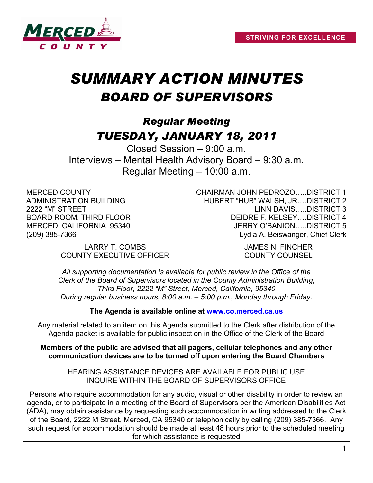

# *SUMMARY ACTION MINUTES BOARD OF SUPERVISORS*

# *Regular Meeting TUESDAY, JANUARY 18, 2011*

Closed Session – 9:00 a.m. Interviews – Mental Health Advisory Board – 9:30 a.m. Regular Meeting – 10:00 a.m.

MERCED COUNTY ADMINISTRATION BUILDING 2222 "M" STREET BOARD ROOM, THIRD FLOOR MERCED, CALIFORNIA 95340 (209) 385-7366

> LARRY T. COMBS JAMES N. FINCHER COUNTY EXECUTIVE OFFICER COUNTY COUNSEL

CHAIRMAN JOHN PEDROZO…..DISTRICT 1 HUBERT "HUB" WALSH, JR….DISTRICT 2 LINN DAVIS…..DISTRICT 3 DEIDRE F. KELSEY….DISTRICT 4 JERRY O'BANION…..DISTRICT 5 Lydia A. Beiswanger, Chief Clerk

*All supporting documentation is available for public review in the Office of the Clerk of the Board of Supervisors located in the County Administration Building, Third Floor, 2222 "M" Street, Merced, California, 95340 During regular business hours, 8:00 a.m. – 5:00 p.m., Monday through Friday.*

**The Agenda is available online at [www.co.merced.ca.us](http://www.co.merced.ca.us/)**

Any material related to an item on this Agenda submitted to the Clerk after distribution of the Agenda packet is available for public inspection in the Office of the Clerk of the Board

**Members of the public are advised that all pagers, cellular telephones and any other communication devices are to be turned off upon entering the Board Chambers**

HEARING ASSISTANCE DEVICES ARE AVAILABLE FOR PUBLIC USE INQUIRE WITHIN THE BOARD OF SUPERVISORS OFFICE

Persons who require accommodation for any audio, visual or other disability in order to review an agenda, or to participate in a meeting of the Board of Supervisors per the American Disabilities Act (ADA), may obtain assistance by requesting such accommodation in writing addressed to the Clerk of the Board, 2222 M Street, Merced, CA 95340 or telephonically by calling (209) 385-7366. Any such request for accommodation should be made at least 48 hours prior to the scheduled meeting for which assistance is requested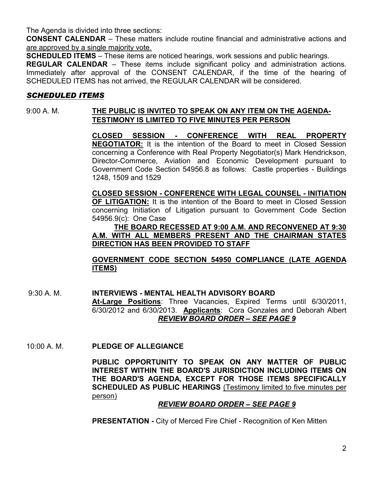The Agenda is divided into three sections:

**CONSENT CALENDAR** – These matters include routine financial and administrative actions and are approved by a single majority vote.

**SCHEDULED ITEMS** – These items are noticed hearings, work sessions and public hearings.

**REGULAR CALENDAR** – These items include significant policy and administration actions. Immediately after approval of the CONSENT CALENDAR, if the time of the hearing of SCHEDULED ITEMS has not arrived, the REGULAR CALENDAR will be considered.

#### *SCHEDULED ITEMS*

#### 9:00 A. M. **THE PUBLIC IS INVITED TO SPEAK ON ANY ITEM ON THE AGENDA-TESTIMONY IS LIMITED TO FIVE MINUTES PER PERSON**

**CLOSED SESSION - CONFERENCE WITH REAL PROPERTY NEGOTIATOR:** It is the intention of the Board to meet in Closed Session concerning a Conference with Real Property Negotiator(s) Mark Hendrickson, Director-Commerce, Aviation and Economic Development pursuant to Government Code Section 54956.8 as follows: Castle properties - Buildings 1248, 1509 and 1529

**CLOSED SESSION - CONFERENCE WITH LEGAL COUNSEL - INITIATION OF LITIGATION:** It is the intention of the Board to meet in Closed Session concerning Initiation of Litigation pursuant to Government Code Section 54956.9(c): One Case

#### **THE BOARD RECESSED AT 9:00 A.M. AND RECONVENED AT 9:30 A.M. WITH ALL MEMBERS PRESENT AND THE CHAIRMAN STATES DIRECTION HAS BEEN PROVIDED TO STAFF**

#### **GOVERNMENT CODE SECTION 54950 COMPLIANCE (LATE AGENDA ITEMS)**

9:30 A. M. **INTERVIEWS - MENTAL HEALTH ADVISORY BOARD At-Large Positions**: Three Vacancies, Expired Terms until 6/30/2011, 6/30/2012 and 6/30/2013. **Applicants**: Cora Gonzales and Deborah Albert *REVIEW BOARD ORDER – SEE PAGE 9*

10:00 A. M. **PLEDGE OF ALLEGIANCE**

**PUBLIC OPPORTUNITY TO SPEAK ON ANY MATTER OF PUBLIC INTEREST WITHIN THE BOARD'S JURISDICTION INCLUDING ITEMS ON THE BOARD'S AGENDA, EXCEPT FOR THOSE ITEMS SPECIFICALLY SCHEDULED AS PUBLIC HEARINGS** (Testimony limited to five minutes per person)

#### *REVIEW BOARD ORDER – SEE PAGE 9*

**PRESENTATION -** City of Merced Fire Chief - Recognition of Ken Mitten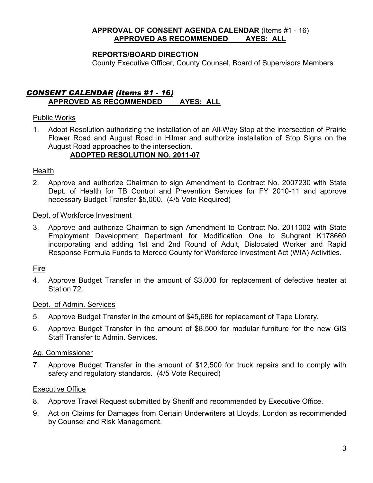#### **APPROVAL OF CONSENT AGENDA CALENDAR** (Items #1 - 16) **APPROVED AS RECOMMENDED AYES: ALL**

#### **REPORTS/BOARD DIRECTION**

County Executive Officer, County Counsel, Board of Supervisors Members

#### *CONSENT CALENDAR (Items #1 - 16)* **APPROVED AS RECOMMENDED AYES: ALL**

#### Public Works

1. Adopt Resolution authorizing the installation of an All-Way Stop at the intersection of Prairie Flower Road and August Road in Hilmar and authorize installation of Stop Signs on the August Road approaches to the intersection.

#### **ADOPTED RESOLUTION NO. 2011-07**

#### **Health**

2. Approve and authorize Chairman to sign Amendment to Contract No. 2007230 with State Dept. of Health for TB Control and Prevention Services for FY 2010-11 and approve necessary Budget Transfer-\$5,000. (4/5 Vote Required)

#### Dept. of Workforce Investment

3. Approve and authorize Chairman to sign Amendment to Contract No. 2011002 with State Employment Development Department for Modification One to Subgrant K178669 incorporating and adding 1st and 2nd Round of Adult, Dislocated Worker and Rapid Response Formula Funds to Merced County for Workforce Investment Act (WIA) Activities.

#### Fire

4. Approve Budget Transfer in the amount of \$3,000 for replacement of defective heater at Station 72.

#### Dept. of Admin. Services

- 5. Approve Budget Transfer in the amount of \$45,686 for replacement of Tape Library.
- 6. Approve Budget Transfer in the amount of \$8,500 for modular furniture for the new GIS Staff Transfer to Admin. Services.

#### Ag. Commissioner

7. Approve Budget Transfer in the amount of \$12,500 for truck repairs and to comply with safety and regulatory standards. (4/5 Vote Required)

#### Executive Office

- 8. Approve Travel Request submitted by Sheriff and recommended by Executive Office.
- 9. Act on Claims for Damages from Certain Underwriters at Lloyds, London as recommended by Counsel and Risk Management.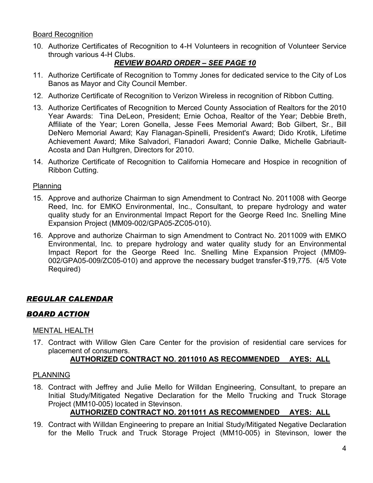Board Recognition

10. Authorize Certificates of Recognition to 4-H Volunteers in recognition of Volunteer Service through various 4-H Clubs.

## *REVIEW BOARD ORDER – SEE PAGE 10*

- 11. Authorize Certificate of Recognition to Tommy Jones for dedicated service to the City of Los Banos as Mayor and City Council Member.
- 12. Authorize Certificate of Recognition to Verizon Wireless in recognition of Ribbon Cutting.
- 13. Authorize Certificates of Recognition to Merced County Association of Realtors for the 2010 Year Awards: Tina DeLeon, President; Ernie Ochoa, Realtor of the Year; Debbie Breth, Affiliate of the Year; Loren Gonella, Jesse Fees Memorial Award; Bob Gilbert, Sr., Bill DeNero Memorial Award; Kay Flanagan-Spinelli, President's Award; Dido Krotik, Lifetime Achievement Award; Mike Salvadori, Flanadori Award; Connie Dalke, Michelle Gabriault-Acosta and Dan Hultgren, Directors for 2010.
- 14. Authorize Certificate of Recognition to California Homecare and Hospice in recognition of Ribbon Cutting.

#### Planning

- 15. Approve and authorize Chairman to sign Amendment to Contract No. 2011008 with George Reed, Inc. for EMKO Environmental, Inc., Consultant, to prepare hydrology and water quality study for an Environmental Impact Report for the George Reed Inc. Snelling Mine Expansion Project (MM09-002/GPA05-ZC05-010).
- 16. Approve and authorize Chairman to sign Amendment to Contract No. 2011009 with EMKO Environmental, Inc. to prepare hydrology and water quality study for an Environmental Impact Report for the George Reed Inc. Snelling Mine Expansion Project (MM09- 002/GPA05-009/ZC05-010) and approve the necessary budget transfer-\$19,775. (4/5 Vote Required)

### *REGULAR CALENDAR*

### *BOARD ACTION*

#### MENTAL HEALTH

17. Contract with Willow Glen Care Center for the provision of residential care services for placement of consumers.

#### **AUTHORIZED CONTRACT NO. 2011010 AS RECOMMENDED AYES: ALL**

#### PLANNING

18. Contract with Jeffrey and Julie Mello for Willdan Engineering, Consultant, to prepare an Initial Study/Mitigated Negative Declaration for the Mello Trucking and Truck Storage Project (MM10-005) located in Stevinson.

### **AUTHORIZED CONTRACT NO. 2011011 AS RECOMMENDED AYES: ALL**

19. Contract with Willdan Engineering to prepare an Initial Study/Mitigated Negative Declaration for the Mello Truck and Truck Storage Project (MM10-005) in Stevinson, lower the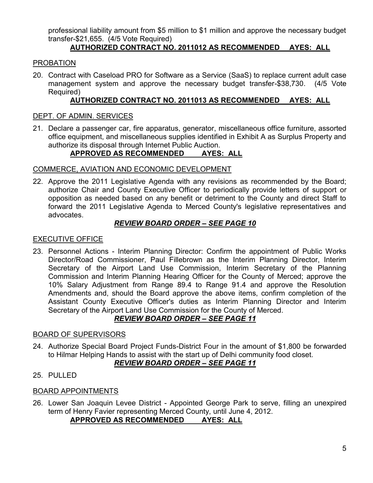professional liability amount from \$5 million to \$1 million and approve the necessary budget transfer-\$21,655. (4/5 Vote Required)

# **AUTHORIZED CONTRACT NO. 2011012 AS RECOMMENDED AYES: ALL**

#### PROBATION

20. Contract with Caseload PRO for Software as a Service (SaaS) to replace current adult case management system and approve the necessary budget transfer-\$38,730. (4/5 Vote Required)

#### **AUTHORIZED CONTRACT NO. 2011013 AS RECOMMENDED AYES: ALL**

#### DEPT. OF ADMIN. SERVICES

21. Declare a passenger car, fire apparatus, generator, miscellaneous office furniture, assorted office equipment, and miscellaneous supplies identified in Exhibit A as Surplus Property and authorize its disposal through Internet Public Auction.

# **APPROVED AS RECOMMENDED AYES: ALL**

#### COMMERCE, AVIATION AND ECONOMIC DEVELOPMENT

22. Approve the 2011 Legislative Agenda with any revisions as recommended by the Board; authorize Chair and County Executive Officer to periodically provide letters of support or opposition as needed based on any benefit or detriment to the County and direct Staff to forward the 2011 Legislative Agenda to Merced County's legislative representatives and advocates.

#### *REVIEW BOARD ORDER – SEE PAGE 10*

#### EXECUTIVE OFFICE

23. Personnel Actions - Interim Planning Director: Confirm the appointment of Public Works Director/Road Commissioner, Paul Fillebrown as the Interim Planning Director, Interim Secretary of the Airport Land Use Commission, Interim Secretary of the Planning Commission and Interim Planning Hearing Officer for the County of Merced; approve the 10% Salary Adjustment from Range 89.4 to Range 91.4 and approve the Resolution Amendments and, should the Board approve the above items, confirm completion of the Assistant County Executive Officer's duties as Interim Planning Director and Interim Secretary of the Airport Land Use Commission for the County of Merced.

# *REVIEW BOARD ORDER – SEE PAGE 11*

#### BOARD OF SUPERVISORS

24. Authorize Special Board Project Funds-District Four in the amount of \$1,800 be forwarded to Hilmar Helping Hands to assist with the start up of Delhi community food closet.

#### *REVIEW BOARD ORDER – SEE PAGE 11*

25. PULLED

#### BOARD APPOINTMENTS

26. Lower San Joaquin Levee District - Appointed George Park to serve, filling an unexpired term of Henry Favier representing Merced County, until June 4, 2012.

#### **APPROVED AS RECOMMENDED AYES: ALL**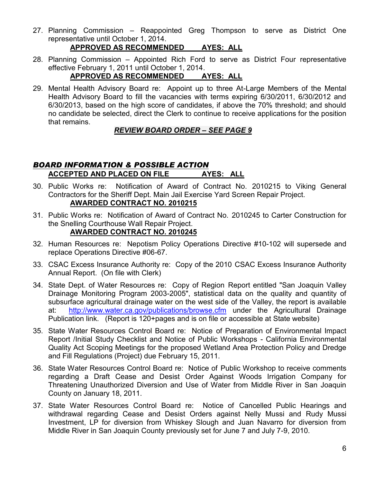27. Planning Commission – Reappointed Greg Thompson to serve as District One representative until October 1, 2014.

#### **APPROVED AS RECOMMENDED AYES: ALL**

28. Planning Commission – Appointed Rich Ford to serve as District Four representative effective February 1, 2011 until October 1, 2014.

#### **APPROVED AS RECOMMENDED AYES: ALL**

29. Mental Health Advisory Board re: Appoint up to three At-Large Members of the Mental Health Advisory Board to fill the vacancies with terms expiring 6/30/2011, 6/30/2012 and 6/30/2013, based on the high score of candidates, if above the 70% threshold; and should no candidate be selected, direct the Clerk to continue to receive applications for the position that remains.

#### *REVIEW BOARD ORDER – SEE PAGE 9*

#### *BOARD INFORMATION & POSSIBLE ACTION* **ACCEPTED AND PLACED ON FILE AYES: ALL**

- 30. Public Works re: Notification of Award of Contract No. 2010215 to Viking General Contractors for the Sheriff Dept. Main Jail Exercise Yard Screen Repair Project. **AWARDED CONTRACT NO. 2010215**
- 31. Public Works re: Notification of Award of Contract No. 2010245 to Carter Construction for the Snelling Courthouse Wall Repair Project. **AWARDED CONTRACT NO. 2010245**
- 32. Human Resources re: Nepotism Policy Operations Directive #10-102 will supersede and replace Operations Directive #06-67.
- 33. CSAC Excess Insurance Authority re: Copy of the 2010 CSAC Excess Insurance Authority Annual Report. (On file with Clerk)
- 34. State Dept. of Water Resources re: Copy of Region Report entitled "San Joaquin Valley Drainage Monitoring Program 2003-2005", statistical data on the quality and quantity of subsurface agricultural drainage water on the west side of the Valley, the report is available at: <http://www.water.ca.gov/publications/browse.cfm> under the Agricultural Drainage Publication link. (Report is 120+pages and is on file or accessible at State website)
- 35. State Water Resources Control Board re: Notice of Preparation of Environmental Impact Report /Initial Study Checklist and Notice of Public Workshops - California Environmental Quality Act Scoping Meetings for the proposed Wetland Area Protection Policy and Dredge and Fill Regulations (Project) due February 15, 2011.
- 36. State Water Resources Control Board re: Notice of Public Workshop to receive comments regarding a Draft Cease and Desist Order Against Woods Irrigation Company for Threatening Unauthorized Diversion and Use of Water from Middle River in San Joaquin County on January 18, 2011.
- 37. State Water Resources Control Board re: Notice of Cancelled Public Hearings and withdrawal regarding Cease and Desist Orders against Nelly Mussi and Rudy Mussi Investment, LP for diversion from Whiskey Slough and Juan Navarro for diversion from Middle River in San Joaquin County previously set for June 7 and July 7-9, 2010.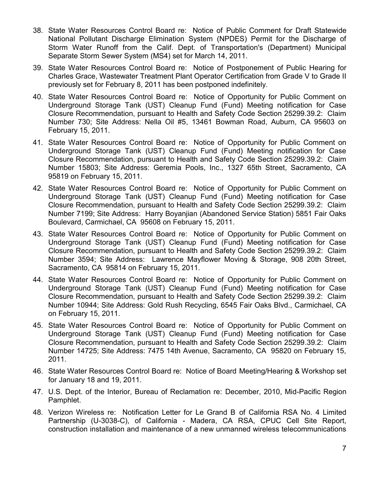- 38. State Water Resources Control Board re: Notice of Public Comment for Draft Statewide National Pollutant Discharge Elimination System (NPDES) Permit for the Discharge of Storm Water Runoff from the Calif. Dept. of Transportation's (Department) Municipal Separate Storm Sewer System (MS4) set for March 14, 2011.
- 39. State Water Resources Control Board re: Notice of Postponement of Public Hearing for Charles Grace, Wastewater Treatment Plant Operator Certification from Grade V to Grade II previously set for February 8, 2011 has been postponed indefinitely.
- 40. State Water Resources Control Board re: Notice of Opportunity for Public Comment on Underground Storage Tank (UST) Cleanup Fund (Fund) Meeting notification for Case Closure Recommendation, pursuant to Health and Safety Code Section 25299.39.2: Claim Number 730; Site Address: Nella Oil #5, 13461 Bowman Road, Auburn, CA 95603 on February 15, 2011.
- 41. State Water Resources Control Board re: Notice of Opportunity for Public Comment on Underground Storage Tank (UST) Cleanup Fund (Fund) Meeting notification for Case Closure Recommendation, pursuant to Health and Safety Code Section 25299.39.2: Claim Number 15803; Site Address: Geremia Pools, Inc., 1327 65th Street, Sacramento, CA 95819 on February 15, 2011.
- 42. State Water Resources Control Board re: Notice of Opportunity for Public Comment on Underground Storage Tank (UST) Cleanup Fund (Fund) Meeting notification for Case Closure Recommendation, pursuant to Health and Safety Code Section 25299.39.2: Claim Number 7199; Site Address: Harry Boyanjian (Abandoned Service Station) 5851 Fair Oaks Boulevard, Carmichael, CA 95608 on February 15, 2011.
- 43. State Water Resources Control Board re: Notice of Opportunity for Public Comment on Underground Storage Tank (UST) Cleanup Fund (Fund) Meeting notification for Case Closure Recommendation, pursuant to Health and Safety Code Section 25299.39.2: Claim Number 3594; Site Address: Lawrence Mayflower Moving & Storage, 908 20th Street, Sacramento, CA 95814 on February 15, 2011.
- 44. State Water Resources Control Board re: Notice of Opportunity for Public Comment on Underground Storage Tank (UST) Cleanup Fund (Fund) Meeting notification for Case Closure Recommendation, pursuant to Health and Safety Code Section 25299.39.2: Claim Number 10944; Site Address: Gold Rush Recycling, 6545 Fair Oaks Blvd., Carmichael, CA on February 15, 2011.
- 45. State Water Resources Control Board re: Notice of Opportunity for Public Comment on Underground Storage Tank (UST) Cleanup Fund (Fund) Meeting notification for Case Closure Recommendation, pursuant to Health and Safety Code Section 25299.39.2: Claim Number 14725; Site Address: 7475 14th Avenue, Sacramento, CA 95820 on February 15, 2011.
- 46. State Water Resources Control Board re: Notice of Board Meeting/Hearing & Workshop set for January 18 and 19, 2011.
- 47. U.S. Dept. of the Interior, Bureau of Reclamation re: December, 2010, Mid-Pacific Region Pamphlet.
- 48. Verizon Wireless re: Notification Letter for Le Grand B of California RSA No. 4 Limited Partnership (U-3038-C), of California - Madera, CA RSA, CPUC Cell Site Report, construction installation and maintenance of a new unmanned wireless telecommunications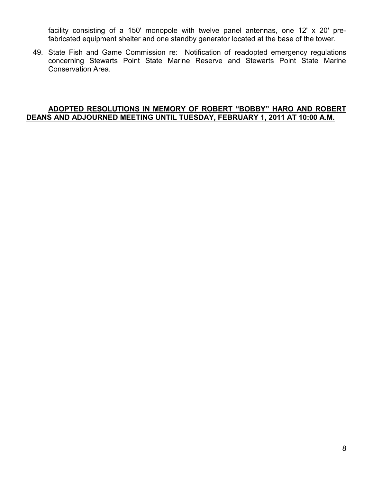facility consisting of a 150' monopole with twelve panel antennas, one 12' x 20' prefabricated equipment shelter and one standby generator located at the base of the tower.

49. State Fish and Game Commission re: Notification of readopted emergency regulations concerning Stewarts Point State Marine Reserve and Stewarts Point State Marine Conservation Area.

#### **ADOPTED RESOLUTIONS IN MEMORY OF ROBERT "BOBBY" HARO AND ROBERT DEANS AND ADJOURNED MEETING UNTIL TUESDAY, FEBRUARY 1, 2011 AT 10:00 A.M.**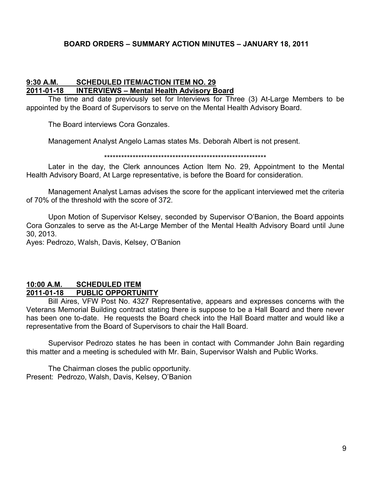#### **BOARD ORDERS – SUMMARY ACTION MINUTES – JANUARY 18, 2011**

#### **9:30 A.M. SCHEDULED ITEM/ACTION ITEM NO. 29 2011-01-18 INTERVIEWS – Mental Health Advisory Board**

The time and date previously set for Interviews for Three (3) At-Large Members to be appointed by the Board of Supervisors to serve on the Mental Health Advisory Board.

The Board interviews Cora Gonzales.

Management Analyst Angelo Lamas states Ms. Deborah Albert is not present.

#### \*\*\*\*\*\*\*\*\*\*\*\*\*\*\*\*\*\*\*\*\*\*\*\*\*\*\*\*\*\*\*\*\*\*\*\*\*\*\*\*\*\*\*\*\*\*\*\*\*\*\*\*\*\*\*\*\*

Later in the day, the Clerk announces Action Item No. 29, Appointment to the Mental Health Advisory Board, At Large representative, is before the Board for consideration.

Management Analyst Lamas advises the score for the applicant interviewed met the criteria of 70% of the threshold with the score of 372.

Upon Motion of Supervisor Kelsey, seconded by Supervisor O'Banion, the Board appoints Cora Gonzales to serve as the At-Large Member of the Mental Health Advisory Board until June 30, 2013.

Ayes: Pedrozo, Walsh, Davis, Kelsey, O'Banion

#### **10:00 A.M. SCHEDULED ITEM 2011-01-18 PUBLIC OPPORTUNITY**

Bill Aires, VFW Post No. 4327 Representative, appears and expresses concerns with the Veterans Memorial Building contract stating there is suppose to be a Hall Board and there never has been one to-date. He requests the Board check into the Hall Board matter and would like a representative from the Board of Supervisors to chair the Hall Board.

Supervisor Pedrozo states he has been in contact with Commander John Bain regarding this matter and a meeting is scheduled with Mr. Bain, Supervisor Walsh and Public Works.

The Chairman closes the public opportunity. Present: Pedrozo, Walsh, Davis, Kelsey, O'Banion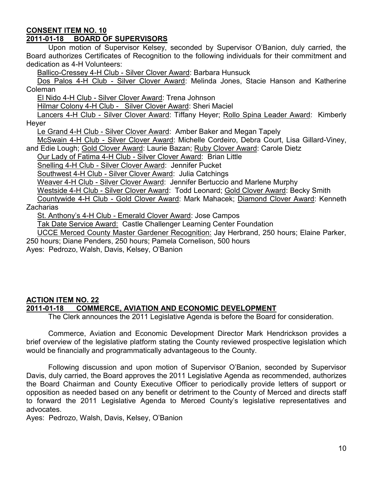#### **CONSENT ITEM NO. 10**

#### **2011-01-18 BOARD OF SUPERVISORS**

Upon motion of Supervisor Kelsey, seconded by Supervisor O'Banion, duly carried, the Board authorizes Certificates of Recognition to the following individuals for their commitment and dedication as 4-H Volunteers:

Ballico-Cressey 4-H Club - Silver Clover Award: Barbara Hunsuck

Dos Palos 4-H Club - Silver Clover Award: Melinda Jones, Stacie Hanson and Katherine Coleman

El Nido 4-H Club - Silver Clover Award: Trena Johnson

Hilmar Colony 4-H Club - Silver Clover Award: Sheri Maciel

Lancers 4-H Club - Silver Clover Award: Tiffany Heyer; Rollo Spina Leader Award: Kimberly Heyer

Le Grand 4-H Club - Silver Clover Award: Amber Baker and Megan Tapely

McSwain 4-H Club - Silver Clover Award: Michelle Cordeiro, Debra Court, Lisa Gillard-Viney, and Edie Lough; Gold Clover Award: Laurie Bazan; Ruby Clover Award: Carole Dietz

Our Lady of Fatima 4-H Club - Silver Clover Award: Brian Little

Snelling 4-H Club - Silver Clover Award: Jennifer Pucket

Southwest 4-H Club - Silver Clover Award: Julia Catchings

Weaver 4-H Club - Silver Clover Award: Jennifer Bertuccio and Marlene Murphy

Westside 4-H Club - Silver Clover Award: Todd Leonard; Gold Clover Award: Becky Smith Countywide 4-H Club - Gold Clover Award: Mark Mahacek; Diamond Clover Award: Kenneth

Zacharias

St. Anthony's 4-H Club - Emerald Clover Award: Jose Campos

Tak Date Service Award: Castle Challenger Learning Center Foundation

UCCE Merced County Master Gardener Recognition: Jay Herbrand, 250 hours; Elaine Parker, 250 hours; Diane Penders, 250 hours; Pamela Cornelison, 500 hours

Ayes: Pedrozo, Walsh, Davis, Kelsey, O'Banion

#### **ACTION ITEM NO. 22 2011-01-18 COMMERCE, AVIATION AND ECONOMIC DEVELOPMENT**

The Clerk announces the 2011 Legislative Agenda is before the Board for consideration.

Commerce, Aviation and Economic Development Director Mark Hendrickson provides a brief overview of the legislative platform stating the County reviewed prospective legislation which would be financially and programmatically advantageous to the County.

Following discussion and upon motion of Supervisor O'Banion, seconded by Supervisor Davis, duly carried, the Board approves the 2011 Legislative Agenda as recommended, authorizes the Board Chairman and County Executive Officer to periodically provide letters of support or opposition as needed based on any benefit or detriment to the County of Merced and directs staff to forward the 2011 Legislative Agenda to Merced County's legislative representatives and advocates.

Ayes: Pedrozo, Walsh, Davis, Kelsey, O'Banion